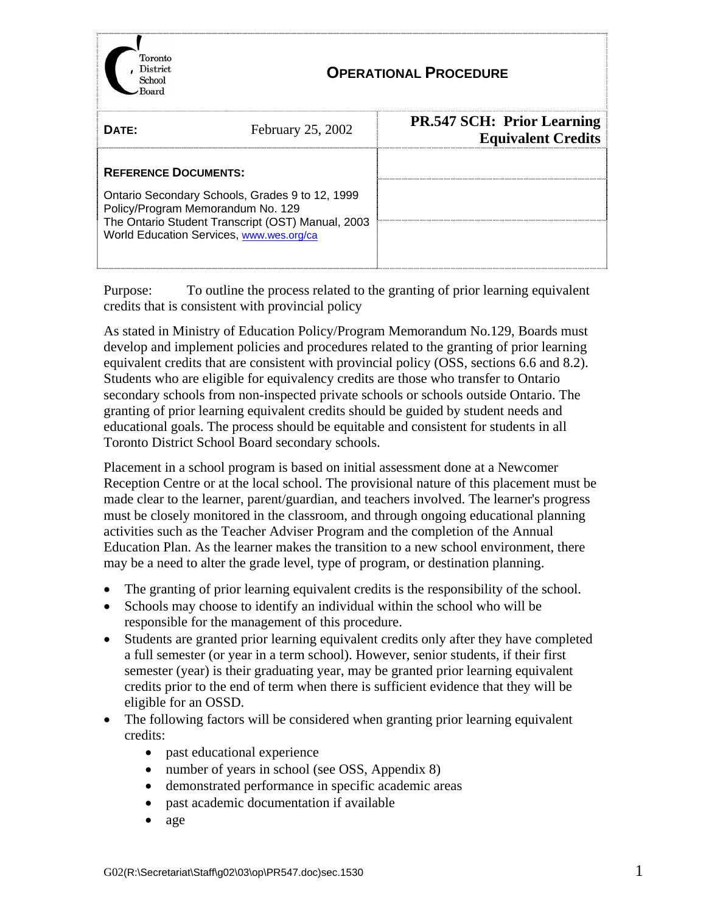| Toronto<br>District<br>School                                                                                                                                                                                        |                   | <b>OPERATIONAL PROCEDURE</b>                                   |  |
|----------------------------------------------------------------------------------------------------------------------------------------------------------------------------------------------------------------------|-------------------|----------------------------------------------------------------|--|
| DATE:                                                                                                                                                                                                                | February 25, 2002 | <b>PR.547 SCH: Prior Learning</b><br><b>Equivalent Credits</b> |  |
| <b>REFERENCE DOCUMENTS:</b><br>Ontario Secondary Schools, Grades 9 to 12, 1999<br>Policy/Program Memorandum No. 129<br>The Ontario Student Transcript (OST) Manual, 2003<br>World Education Services, www.wes.org/ca |                   |                                                                |  |

Purpose: To outline the process related to the granting of prior learning equivalent credits that is consistent with provincial policy

As stated in Ministry of Education Policy/Program Memorandum No.129, Boards must develop and implement policies and procedures related to the granting of prior learning equivalent credits that are consistent with provincial policy (OSS, sections 6.6 and 8.2). Students who are eligible for equivalency credits are those who transfer to Ontario secondary schools from non-inspected private schools or schools outside Ontario. The granting of prior learning equivalent credits should be guided by student needs and educational goals. The process should be equitable and consistent for students in all Toronto District School Board secondary schools.

Placement in a school program is based on initial assessment done at a Newcomer Reception Centre or at the local school. The provisional nature of this placement must be made clear to the learner, parent/guardian, and teachers involved. The learner's progress must be closely monitored in the classroom, and through ongoing educational planning activities such as the Teacher Adviser Program and the completion of the Annual Education Plan. As the learner makes the transition to a new school environment, there may be a need to alter the grade level, type of program, or destination planning.

- The granting of prior learning equivalent credits is the responsibility of the school.
- Schools may choose to identify an individual within the school who will be responsible for the management of this procedure.
- Students are granted prior learning equivalent credits only after they have completed a full semester (or year in a term school). However, senior students, if their first semester (year) is their graduating year, may be granted prior learning equivalent credits prior to the end of term when there is sufficient evidence that they will be eligible for an OSSD.
- The following factors will be considered when granting prior learning equivalent credits:
	- past educational experience
	- number of years in school (see OSS, Appendix 8)
	- demonstrated performance in specific academic areas
	- past academic documentation if available
	- age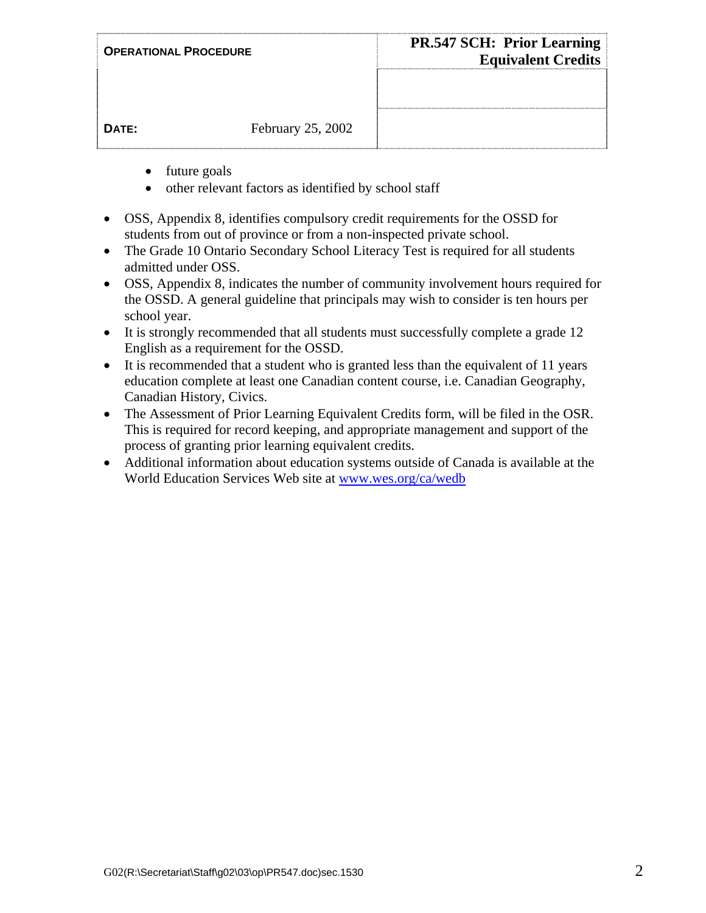| <b>OPERATIONAL PROCEDURE</b> |                   | <b>PR.547 SCH: Prior Learning</b><br><b>Equivalent Credits</b> |
|------------------------------|-------------------|----------------------------------------------------------------|
|                              |                   |                                                                |
| DATE:                        | February 25, 2002 |                                                                |

- future goals
- other relevant factors as identified by school staff
- OSS, Appendix 8, identifies compulsory credit requirements for the OSSD for students from out of province or from a non-inspected private school.
- The Grade 10 Ontario Secondary School Literacy Test is required for all students admitted under OSS.
- OSS, Appendix 8, indicates the number of community involvement hours required for the OSSD. A general guideline that principals may wish to consider is ten hours per school year.
- It is strongly recommended that all students must successfully complete a grade 12 English as a requirement for the OSSD.
- It is recommended that a student who is granted less than the equivalent of 11 years education complete at least one Canadian content course, i.e. Canadian Geography, Canadian History, Civics.
- The Assessment of Prior Learning Equivalent Credits form, will be filed in the OSR. This is required for record keeping, and appropriate management and support of the process of granting prior learning equivalent credits.
- Additional information about education systems outside of Canada is available at the World Education Services Web site at www.wes.org/ca/wedb